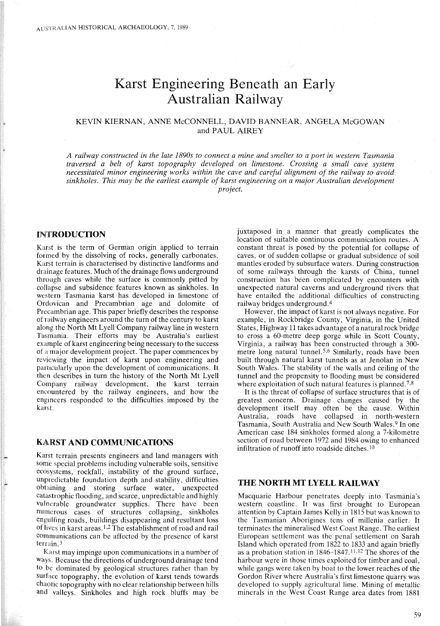# Karst Engineering Beneath an Early Australian Railway

## KEVIN KIERNAN, ANNE McCONNELL, DAVID BANNEAR, ANGELA McGOWAN and PAUL AIREY

A railway constructed in the late 1890s to connect a mine and smelter to a port in western Tasmania *traversed a belt of karst topography developed on limestone. Crossing a small cave system necessitated minor engineering works within the cave and careful alignment of the railway to avoid sinkholes. This may be the earliest example of karst engineering on a major Australian development project.*

## INTRODUCTION

Karst is the term of German origin applied to terrain formed by the dissolving of rocks, generally carbonates. Karst terrain is characterised by distinctive landforms and drainage features. Much of the drainage flows underground through caves while the surface is commonly pitted by collapse and subsidence features known as sinkholes. In western Tasmania karst has developed in limestone of Ordovican and Precambrian age and dolomite of Precambrian age. This paper briefly describes the response of railway engineers around the turn of the century to karst along the North Mt Lyell Company railway line in western Tasmania. Their efforts may be Australia's earliest example of karst engineering being necessary to the success of a major development project. The paper commences by reviewing the impact of karst upon engineering and particularly upon the development of communications. It then describes in turn the history of the North Mt Lyell Company railway development, the karst terrain encountered by the railway engineers, and how the engineers responded to the difficulties imposed by the karst.

## KARST AND COMMUNICATIONS

Karst terrain presents engineers and land managers with some special problems including vulnerable soils, sensitive ecosystems, rockfall, instability of the ground surface, unpredictable foundation depth and stability, difficulties obtaining and storing surface water, unexpected catastrophic flooding, and scarce, unpredictable and highly vulnerable groundwater supplies. There have been numerous cases of structures collapsing, sinkholes engulfing roads, buildings disappearing and resultant loss of lives in karst areas. I,2 The establishment of road and rail communications can be affected by the presence of karst terrain. <sup>3</sup>

Karst may impinge upon communications in a number of ways. Because the directions of underground drainage tend to be dominated by geological structures rather than by surface topography, the evolution of karst tends towards chaotic topography with no clear relationship between hills and valleys. Sinkholes and high rock bluffs may be

juxtaposed in a manner that greatly complicates the location of suitable continuous communication routes. A constant threat is posed by the potential for collapse of caves, or of sudden collapse or gradual subsidence of soil mantles eroded by subsurface waters. During construction of some railways through the karsts of China, tunnel construction has been complicated by encounters with unexpected natural caverns and underground rivers that have entailed the additional difficulties of constructing railway bridges underground. <sup>4</sup>

However, the impact of karst is not always negative. For example, in Rockbridge County, Virginia, in the United States, Highway 11 takes advantage of a natural rock bridge to cross a 60-metre deep gorge while in Scott County, Virginia, a railway has been constructed through a 300 metre long natural tunnel.<sup>5,6</sup> Similarly, roads have been built through natural karst tunnels as at Jenolan in New South Wales. The stability of the walls and ceiling of the tunnel and the propensity to flooding must be considered where exploitation of such natural features is planned.<sup>7,8</sup>

It is the threat of collapse of surface structures that is of greatest concern. Drainage changes caused by the development itself may often be the cause. Within Australia, roads have collapsed in north-western Tasmania, South Australia and New South Wales. 9 In one American case 184 sinkholes formed along a 7-kilometre section of road between 1972 and 1984 owing to enhanced infiltration of runoff into roadside ditches. <sup>10</sup>

# THE NORTH MT LYELL RAILWAY

Macquarie Harbour penetrates deeply into Tasmania's western coastline. It was first brought to European attention by Captain James Kelly in 1815 but was known to the Tasmanian Aborigines tens of millenia earlief.' It terminates the mineralised West Coast Range. The earliest European settlement was the penal settlement on Sarah Island which operated from 1822 to 1833 and again briefly as a probation station in 1846–1847.<sup>11,12</sup> The shores of the harbour were in those times exploited for timber and coal, while gangs were taken by boat to the lower reaches of the Gordon River where Australia's first limestone quarry was developed to supply agricultural lime. Mining of metallic minerals in the West Coast Range area dates from 1881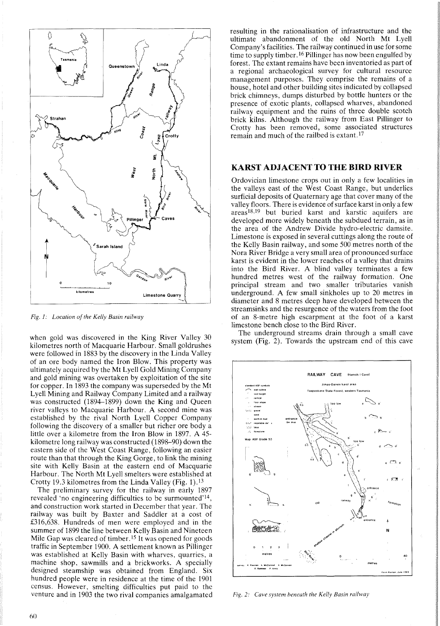

*Fig. 1: Location of the Kelly Basin railway* 

when gold was discovered in the King River Valley 30 kilometres north of Macquarie Harbour. Small goldrushes were followed in 1883 by the discovery in the Linda Valley of an ore body named the Iron Blow. This property was ultimately acquired by the Mt Lyell Gold Mining Company and gold mining was overtaken by exploitation of the site for copper. In 1893 the company was superseded by the Mt Lyell Mining and Railway Company Limited and a railway was constructed (1894-1899) down the King and Queen river valleys to Macquarie Harbour. A second mine was established by the rival North Lyell Copper Company following the discovery of a smaller but richer ore body a little over a kilometre from the Iron Blow in 1897. A 45 kilometre long railway was constructed (1898-90) down the eastern side of the West Coast Range, following an easier route than that through the King Gorge, to link the mining site with Kelly Basin at the eastern end of Macquarie Harbour. The North Mt Lyell smelters were established at Crotty 19.3 kilometres from the Linda Valley (Fig. 1).13

The preliminary survey for the railway in early 1897 revealed 'no engineering difficulties to be surmounted'14, and construction work started in December that year. The railway was built by Baxter and Saddler at a cost of £316,638. Hundreds of men were employed and in the summer of 1899 the line between Kelly Basin and Nineteen Mile Gap was cleared of timber.<sup>15</sup> It was opened for goods traffic in September 1900. A settlement known as Pillinger was established at Kelly Basin with wharves, quarries, a machine shop, sawmills and a brickworks. A specially designed steamship was obtained from England. Six hundred people were in residence at the time of the 1901 census. However, smelting difficulties put paid to the venture and in 1903 the two rival companies amalgamated

resulting in the rationalisation of infrastructure and the ultimate abandonment of the old North Mt Lyell Company's facilities. The railway continued in use for some time to supply timber.16 Pillinger has now been engulfed by forest. The extant remains have been inventoried as part of a regional archaeological survey for cultural resource management purposes. They comprise the remains of a house, hotel and other building sites indicated by collapsed brick chimneys, dumps disturbed by bottle hunters or the presence of exotic plants, collapsed wharves, abandoned railway equipment and the ruins of three double scotch brick kilns. Although the railway from East Pillinger to Crotty has been removed, some associated structures remain and much of the railbed is extant. 17

## KARST ADJACENT TO THE BIRD RIVER

Ordovician limestone crops out in only a few localities in the valleys east of the West Coast Range, but underlies surficial deposits of Quaternary age that cover many of the valley floors. There is evidence of surface karst in only a few areas 18,19 but buried karst and karstic aquifers are developed more widely beneath the subdued terrain, as in the area of the Andrew Divide hydro-electric damsite. Limestone is exposed in several cuttings along the route of the Kelly Basin railway, and some 500 metres north of the Nora River Bridge a very small area of pronounced surface karst is evident in the lower reaches of a valley that drains into the Bird River. A blind valley terminates a few hundred metres west of the railway formation. One principal stream and two smaller tributaries vanish underground. A few small sinkholes up to 20 metres in diameter and 8 metres deep have developed between the streamsinks and the resurgence of the waters from the foot of an 8-metre high escarpment at the foot of a karst limestone bench close to the Bird River.

The underground streams drain through a small cave system (Fig. 2). Towards the upstream end of this cave



*Fig.* 2: *Cave system heneath the Kelly Basin railway*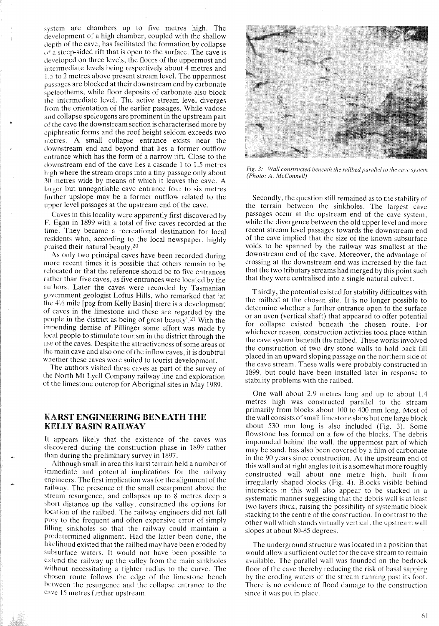system arc chambers up to five metres high. The development of a high chamber, coupled with the shallow depth of the cave, has facilitated the formation by collapse of a steep-sided rift that is open to the surface. The cave is developed on three levels, the floors of the uppermost and intermediate levels being respectively about 4 metres and 1.5 to 2 metres above present stream level. The uppermost passages are blocked at their downstream end by carbonate speleothems, while floor deposits of carbonate also block the intermediate level. The active stream level diverges from the orientation of the earlier passages. While vadose and collapse speleogens are prominent in the upstream part of the cave the downstream section is characterised more by epiphreatie forms and the roof height seldom exceeds two metres. A small collapse entrance exists near the downstream end and beyond that lies a former outflow entrance which has the form of a narrow rift. Close to the downstream end of the cave lies a cascade 1 to 1.5 metres high where the stream drops into a tiny passage only about 30 metres wide by means of which it leaves the cave. A larger but unnegotiable cave entrance four to six metres further upslope may be a former outflow related to the upper level passages at the upstream end of the cave.

Caves in this locality were apparently first discovered by F. Egan in 1899 with a total of five caves recorded at the time. They became a recreational destination for local residents who, according to the local newspaper, highly praised their natural beauty.2o

As only two principal caves have been recorded during more recent times it is possible that others remain to be relocated or that the reference should be to five entrances rather than five caves, as five entrances were located by the authors. Later the caves were recorded by Tasmanian government geologist Loftus Hills, who remarked that 'at the *4V2* mile [peg from Kelly Basin] there is a development of caves in the limestone and these are regarded by the people in the district as being of great beauty'.2l With the impending demise of Pillinger some effort was made by local people to stimulate tourism in the district through the use of the caves. Despite the attractiveness of some areas of the main cave and also one of the inflow caves, it is doubtful whether these caves were suited to tourist development.

The authors visited these caves as part of the survey of the North Mt Lyell Company railway line and exploration of the limestone outcrop for Aboriginal sites in May 1989.

# KARST **ENGINEERING BENEATH THE KELLY BASIN RAILWAY**

It appears likely that the existence of the caves was discovered during the construction phase in 1899 rather than during the preliminary survey in 1897.

Although small in area this karst terrain held a number of immediate and potential implications for the railway engineers. The first implication was for the alignment of the railway. The presence of the small escarpment above the stream resurgence, and collapses up to 8 metres deep a short distance up the valley, constrained the options for location of the railbed. The railway engineers did not fall prey to the frequent and often expensive error of simply filling sinkholes so that the railway could maintain a predetermined alignment. Had the latter been done, the likelihood existed that the railbed may have been eroded by subsurface waters. It would not have been possible to extcnd the railway up the valley from the main sinkholes without necessitating a tighter radius to the curve. The chosen route follows the edge of the limestone bench between the resurgence and the collapse entrance to the cave 15 metres further upstream.



*Fig.* 3: *Wall constructed beneath the railbed parallel* /() *rhe cave sysrem (Photo: A. McConnell)*

Secondly, the question still remained as to the stability of the terrain between the sinkholes. The largest cave passages occur at the upstream end of the cave system. while the divergence between the old upper level and more recent stream level passages towards the downstream end of the cave implied that the size of the known subsurface voids to be spanned by the railway was smallest at the downstream end of the cave. Moreover, the advantage of crossing at the downstream end was increased by the fact that the two tributary streams had merged by this point such that they were centralised into a single natural culvert.

Thirdly, the potential existed for stability difficulties with the railbed at the chosen site. It is no longer possible to determine whether a further entrance open to the surface or an aven (vertical shaft) that appeared to offer potential for collapse existed beneath the chosen route. For whichever reason, construction activities took place within the cave system beneath the railbed. These works involved the construction of two dry stone walls to hold back fill placed in an upward sloping passage on the northern side of the cave stream. These walls were probably constructed in 1899, but could have been installed later in response to stability problems with the railbed.

One wall about 2.9 metres long and up to about 1.4 metres high was constructed parallel to the stream primarily from blocks about 100 to 400 mm long. Most of the wall consists ofsmall limestone slabs but one large block about 530 mm long is also included (Fig. 3). Some flowstone has formed on a few of the blocks. The debris impounded behind the wall, the uppermost part of which may be sand, has also been covered by a film of carbonate in the 90 years since construction. At the upstream end of this wall and at right angles to it is a somewhat more roughly constructed wall about one metre high, built from irregularly shaped blocks (Fig. 4). Blocks visible behind interstices in this wall also appear to be stacked in a systematic manner suggesting that the debris wall is at least two layers thick, raising the possibility of systematic block stacking to the centre of the construction. In contrast to the other wall which stands virtually vertical, the upstream wall slopes at about 80-85 degrees.

The underground structure was located in a position that would allow a sufficient outlet for the cave stream to remain available. The parallel wall was founded on the bedrock floor of the cave thereby reducing the risk of basal sapping by the eroding waters of the stream running past its foot. There is no evidence of flood damage to the construction since it was put in place.